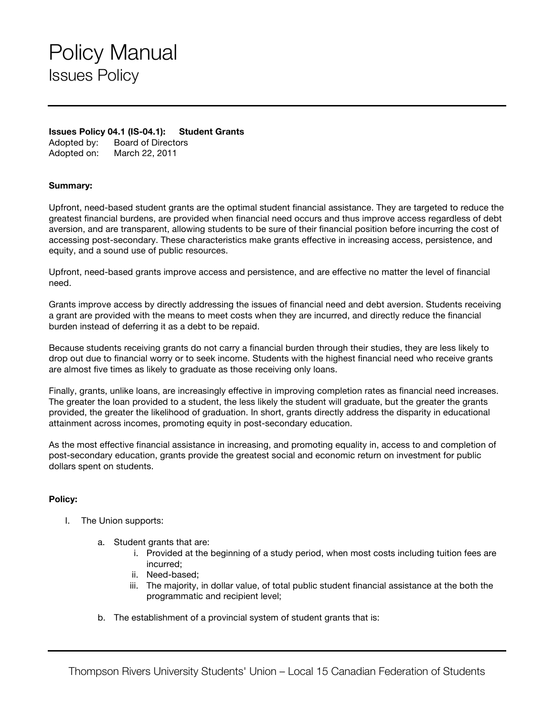## Policy Manual Issues Policy

## **Issues Policy 04.1 (IS-04.1): Student Grants**

Adopted by: Board of Directors Adopted on: March 22, 2011

## **Summary:**

Upfront, need-based student grants are the optimal student financial assistance. They are targeted to reduce the greatest financial burdens, are provided when financial need occurs and thus improve access regardless of debt aversion, and are transparent, allowing students to be sure of their financial position before incurring the cost of accessing post-secondary. These characteristics make grants effective in increasing access, persistence, and equity, and a sound use of public resources.

Upfront, need-based grants improve access and persistence, and are effective no matter the level of financial need.

Grants improve access by directly addressing the issues of financial need and debt aversion. Students receiving a grant are provided with the means to meet costs when they are incurred, and directly reduce the financial burden instead of deferring it as a debt to be repaid.

Because students receiving grants do not carry a financial burden through their studies, they are less likely to drop out due to financial worry or to seek income. Students with the highest financial need who receive grants are almost five times as likely to graduate as those receiving only loans.

Finally, grants, unlike loans, are increasingly effective in improving completion rates as financial need increases. The greater the loan provided to a student, the less likely the student will graduate, but the greater the grants provided, the greater the likelihood of graduation. In short, grants directly address the disparity in educational attainment across incomes, promoting equity in post-secondary education.

As the most effective financial assistance in increasing, and promoting equality in, access to and completion of post-secondary education, grants provide the greatest social and economic return on investment for public dollars spent on students.

## **Policy:**

- I. The Union supports:
	- a. Student grants that are:
		- i. Provided at the beginning of a study period, when most costs including tuition fees are incurred;
		- ii. Need-based;
		- iii. The majority, in dollar value, of total public student financial assistance at the both the programmatic and recipient level;
	- b. The establishment of a provincial system of student grants that is: